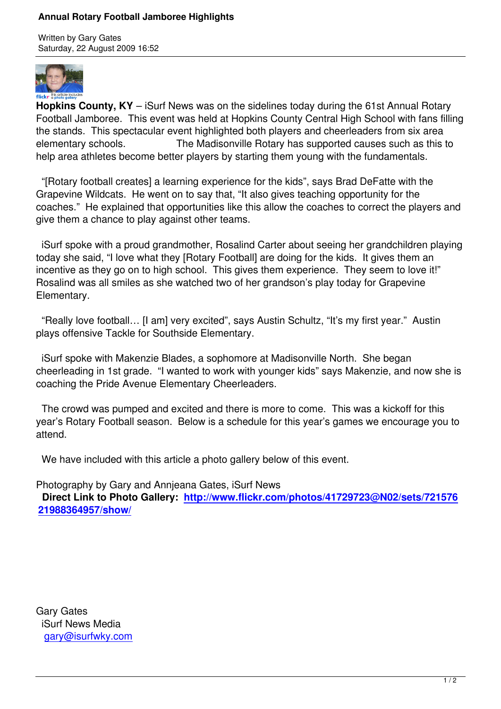Written by Gary Gates



**Hopkins County, KY** – iSurf News was on the sidelines today during the 61st Annual Rotary Football Jamboree. This event was held at Hopkins County Central High School with fans filling the stands. This spectacular event highlighted both players and cheerleaders from six area elementary schools. The Madisonville Rotary has supported causes such as this to help area athletes become better players by starting them young with the fundamentals.

 "[Rotary football creates] a learning experience for the kids", says Brad DeFatte with the Grapevine Wildcats. He went on to say that, "It also gives teaching opportunity for the coaches." He explained that opportunities like this allow the coaches to correct the players and give them a chance to play against other teams.

 iSurf spoke with a proud grandmother, Rosalind Carter about seeing her grandchildren playing today she said, "I love what they [Rotary Football] are doing for the kids. It gives them an incentive as they go on to high school. This gives them experience. They seem to love it!" Rosalind was all smiles as she watched two of her grandson's play today for Grapevine Elementary.

 "Really love football… [I am] very excited", says Austin Schultz, "It's my first year." Austin plays offensive Tackle for Southside Elementary.

 iSurf spoke with Makenzie Blades, a sophomore at Madisonville North. She began cheerleading in 1st grade. "I wanted to work with younger kids" says Makenzie, and now she is coaching the Pride Avenue Elementary Cheerleaders.

 The crowd was pumped and excited and there is more to come. This was a kickoff for this year's Rotary Football season. Below is a schedule for this year's games we encourage you to attend.

We have included with this article a photo gallery below of this event.

Photography by Gary and Annjeana Gates, iSurf News

 **Direct Link to Photo Gallery: http://www.flickr.com/photos/41729723@N02/sets/721576 21988364957/show/**

Gary Gates iSurf News Media gary@isurfwky.com